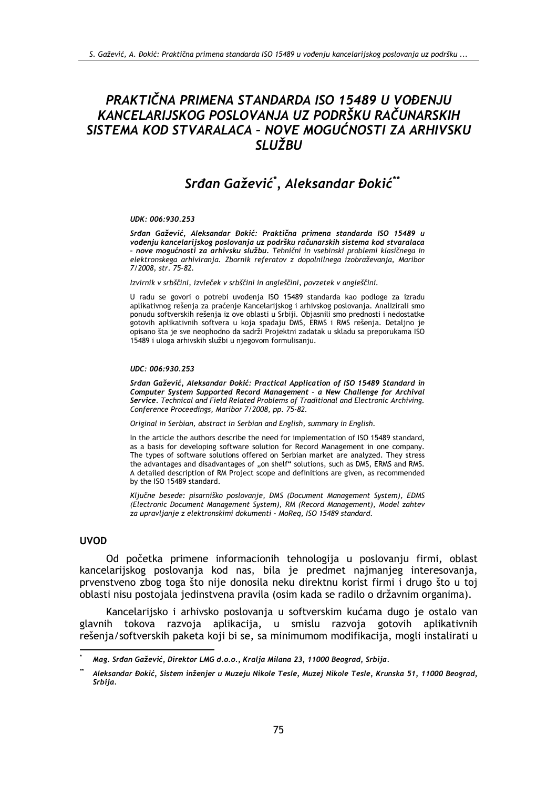## PRAKTIČNA PRIMENA STANDARDA ISO 15489 U VOĐENJU KANCELARIJSKOG POSLOVANJA UZ PODRŠKU RAČUNARSKIH SISTEMA KOD STVARALACA - NOVE MOGUĆNOSTI ZA ARHIVSKU SLUŽBU

# Srđan Gažević\*, Aleksandar Đokić\*\*

#### UDK: 006:930.253

Srđan Gažević, Aleksandar Đokić: Praktična primena standarda ISO 15489 u vođenju kancelarijskog poslovanja uz podršku računarskih sistema kod stvaralaca - nove mogućnosti za arhivsku službu. Tehnični in vsebinski problemi klasičnega in elektronskega arhiviranja. Zbornik referatov z dopolnilnega izobraževanja, Maribor 7/2008, str. 75-82.

Izvirnik v srbščini, izvleček v srbščini in angleščini, povzetek v angleščini.

U radu se govori o potrebi uvođenja ISO 15489 standarda kao podloge za izradu aplikativnog rešenja za praćenje Kancelarijskog i arhivskog poslovanja. Analizirali smo ponudu softverskih rešenja iz ove oblasti u Srbiji. Objasnili smo prednosti i nedostatke gotovih aplikativnih softvera u koja spadaju DMS, ERMS i RMS rešenja. Detaljno je opisano šta je sve neophodno da sadrži Projektni zadatak u skladu sa preporukama ISO 15489 i uloga arhivskih službi u njegovom formulisanju.

#### $IIDC: 006:930.253$

Srđan Gažević, Aleksandar Đokić: Practical Application of ISO 15489 Standard in Computer System Supported Record Management - a New Challenge for Archival Service. Technical and Field Related Problems of Traditional and Electronic Archiving. Conference Proceedings, Maribor 7/2008, pp. 75-82.

Original in Serbian, abstract in Serbian and English, summary in English.

In the article the authors describe the need for implementation of ISO 15489 standard, as a basis for developing software solution for Record Management in one company. The types of software solutions offered on Serbian market are analyzed. They stress the advantages and disadvantages of "on shelf" solutions, such as DMS, ERMS and RMS. A detailed description of RM Project scope and definitions are given, as recommended by the ISO 15489 standard.

Ključne besede: pisarniško poslovanje, DMS (Document Management System), EDMS (Electronic Document Management System), RM (Record Management), Model zahtev za upravljanje z elektronskimi dokumenti - MoReq, ISO 15489 standard.

#### **UVOD**

Od početka primene informacionih tehnologija u poslovanju firmi, oblast kancelarijskog poslovanja kod nas, bila je predmet najmanjeg interesovanja, prvenstveno zbog toga što nije donosila neku direktnu korist firmi i drugo što u toj oblasti nisu postojala jedinstvena pravila (osim kada se radilo o državnim organima).

Kancelarijsko i arhivsko poslovanja u softverskim kućama dugo je ostalo van glavnih tokova razvoja aplikacija, u smislu razvoja gotovih aplikativnih rešenja/softverskih paketa koji bi se, sa minimumom modifikacija, mogli instalirati u

Mag. Srđan Gažević, Direktor LMG d.o.o., Kralja Milana 23, 11000 Beograd, Srbija.

Aleksandar Đokić, Sistem inženjer u Muzeju Nikole Tesle, Muzej Nikole Tesle, Krunska 51, 11000 Beograd, Srbija.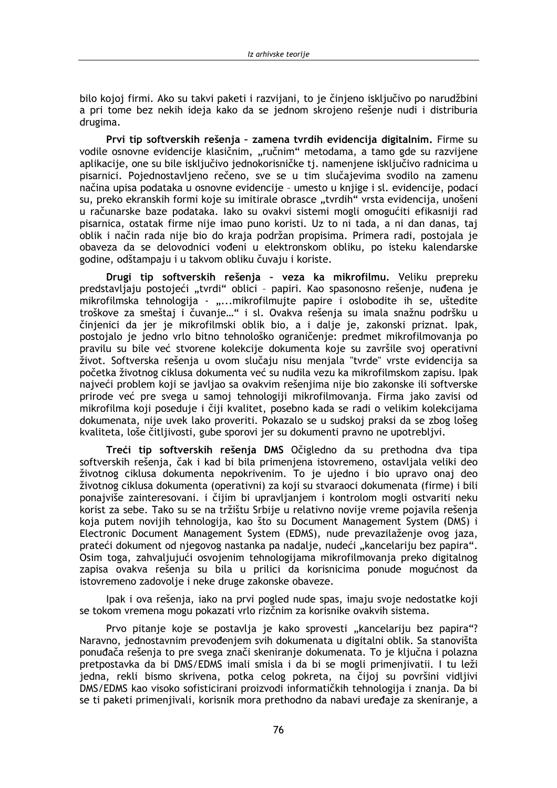bilo kojoj firmi. Ako su takvi paketi i razvijani, to je činjeno isključivo po narudžbini a pri tome bez nekih ideja kako da se jednom skrojeno rešenje nudi i distriburja drugima.

Prvi tip softverskih rešenia - zamena tvrdih evidencija digitalnim. Firme su vodile osnovne evidencije klasičnim, "ručnim" metodama, a tamo gde su razvijene aplikacije, one su bile isključivo jednokorisničke tj. namenjene isključivo radnicima u pisarnici. Pojednostavljeno rečeno, sve se u tim slučajevima svodilo na zamenu načina upisa podataka u osnovne evidencije - umesto u knjige i sl. evidencije, podaci su, preko ekranskih formi koje su imitirale obrasce "tvrdih" vrsta evidencija, unošeni u računarske baze podataka. Iako su ovakvi sistemi mogli omogućiti efikasniji rad pisarnica, ostatak firme nije imao puno koristi. Uz to ni tada, a ni dan danas, taj oblik i način rada nije bio do kraja podržan propisima. Primera radi, postojala je obaveza da se delovodnici vođeni u elektronskom obliku, po isteku kalendarske godine, odštampaju i u takvom obliku čuvaju i koriste.

Drugi tip softverskih rešenja - veza ka mikrofilmu. Veliku prepreku predstavljaju postojeći "tvrdi" oblici - papiri. Kao spasonosno rešenje, nuđena je mikrofilmska tehnologija - "...mikrofilmujte papire i oslobodite ih se, uštedite troškove za smeštaj i čuvanje..." i sl. Ovakva rešenja su imala snažnu podršku u činjenici da jer je mikrofilmski oblik bio, a i dalje je, zakonski priznat. Ipak, postojalo je jedno vrlo bitno tehnološko ograničenje: predmet mikrofilmovanja po pravilu su bile već stvorene kolekcije dokumenta koje su završile svoj operativni život. Softverska rešenja u ovom slučaju nisu menjala "tvrde" vrste evidencija sa početka životnog ciklusa dokumenta već su nudila vezu ka mikrofilmskom zapisu. Ipak najveći problem koji se javljao sa ovakvim rešenjima nije bio zakonske ili softverske prirode već pre svega u samoj tehnologiji mikrofilmovanja. Firma jako zavisi od mikrofilma koji poseduje i čiji kvalitet, posebno kada se radi o velikim kolekcijama dokumenata, nije uvek lako proveriti. Pokazalo se u sudskoj praksi da se zbog lošeg kvaliteta, loše čitljivosti, gube sporovi jer su dokumenti pravno ne upotrebljvi.

Treći tip softverskih rešenja DMS Očigledno da su prethodna dva tipa softverskih rešenia, čak i kad bi bila primeniena istovremeno, ostavljala veliki deo životnog ciklusa dokumenta nepokrivenim. To je ujedno i bio upravo onaj deo životnog ciklusa dokumenta (operativni) za koji su stvaraoci dokumenata (firme) i bili ponajviše zainteresovani, i čijim bi upravljanjem i kontrolom mogli ostvariti neku korist za sebe. Tako su se na tržištu Srbije u relativno novije vreme pojavila rešenja koja putem novijih tehnologija, kao što su Document Management System (DMS) i Electronic Document Management System (EDMS), nude prevazilaženje ovog jaza, prateći dokument od njegovog nastanka pa nadalje, nudeći "kancelariju bez papira". Osim toga, zahvaljujući osvojenim tehnologijama mikrofilmovanja preko digitalnog zapisa ovakva rešenja su bila u prilici da korisnicima ponude mogućnost da istovremeno zadovolje i neke druge zakonske obaveze.

Ipak i ova rešenja, jako na prvi pogled nude spas, imaju svoje nedostatke koji se tokom vremena mogu pokazati vrlo rizčnim za korisnike ovakvih sistema.

Prvo pitanje koje se postavlja je kako sprovesti "kancelariju bez papira"? Naravno, jednostavnim prevođenjem svih dokumenata u digitalni oblik. Sa stanovišta ponuđača rešenja to pre svega znači skeniranje dokumenata. To je ključna i polazna pretpostavka da bi DMS/EDMS imali smisla i da bi se mogli primenjivatii. I tu leži jedna, rekli bismo skrivena, potka celog pokreta, na čijoj su površini vidljivi DMS/EDMS kao visoko sofisticirani proizvodi informatičkih tehnologija i znanja. Da bi se ti paketi primenjivali, korisnik mora prethodno da nabavi uređaje za skeniranje, a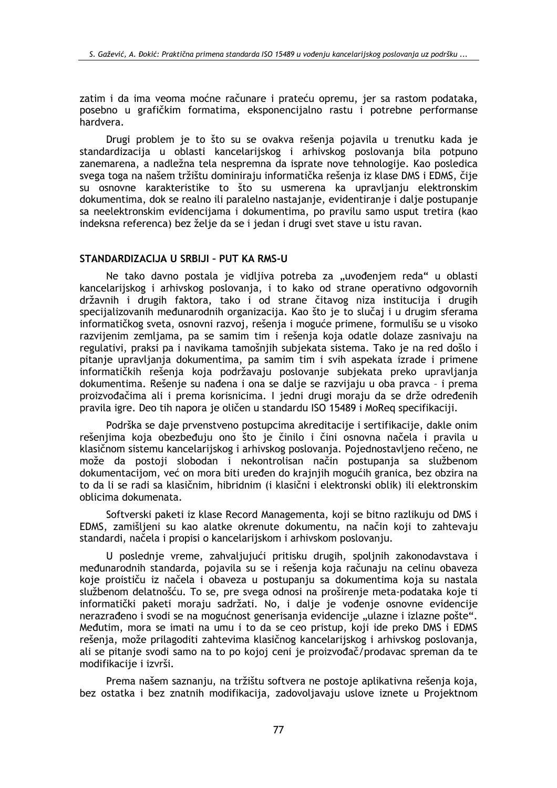zatim i da ima veoma moćne računare i prateću opremu, jer sa rastom podataka, posebno u grafičkim formatima, eksponencijalno rastu i potrebne performanse hardvera.

Drugi problem je to što su se ovakva rešenja pojavila u trenutku kada je standardizacija u oblasti kancelarijskog i arhivskog poslovanja bila potpuno zanemarena, a nadležna tela nespremna da isprate nove tehnologije. Kao posledica svega toga na našem tržištu dominiraju informatička rešenja iz klase DMS i EDMS, čije su osnovne karakteristike to što su usmerena ka upravljanju elektronskim dokumentima, dok se realno ili paralelno nastajanje, evidentiranje i dalje postupanje sa neelektronskim evidencijama i dokumentima, po pravilu samo usput tretira (kao indeksna referenca) bez želje da se i jedan i drugi svet stave u istu ravan.

#### STANDARDIZACIJA U SRBIJI - PUT KA RMS-U

Ne tako davno postala je vidljiva potreba za "uvođenjem reda" u oblasti kancelarijskog i arhivskog poslovanja, i to kako od strane operativno odgovornih državnih i drugih faktora, tako i od strane čitavog niza institucija i drugih specijalizovanih međunarodnih organizacija. Kao što je to slučaj i u drugim sferama informatičkog sveta, osnovni razvoj, rešenja i moguće primene, formulišu se u visoko razvijenim zemljama, pa se samim tim i rešenja koja odatle dolaze zasnivaju na regulativi, praksi pa i navikama tamošnjih subjekata sistema. Tako je na red došlo i pitanje upravljanja dokumentima, pa samim tim i svih aspekata izrade i primene informatičkih rešenja koja podržavaju poslovanje subjekata preko upravljanja dokumentima. Rešenje su nađena i ona se dalje se razvijaju u oba pravca - i prema proizvođačima ali i prema korisnicima. I jedni drugi moraju da se drže određenih pravila igre. Deo tih napora je oličen u standardu ISO 15489 i MoReg specifikaciji.

Podrška se daje prvenstveno postupcima akreditacije i sertifikacije, dakle onim rešenjima koja obezbeđuju ono što je činilo i čini osnovna načela i pravila u klasičnom sistemu kancelarijskog i arhivskog poslovania. Pojednostavljeno rečeno, ne može da postoji slobodan i nekontrolisan način postupanja sa službenom dokumentacijom, već on mora biti uređen do krajnijh mogućih granica, bez obzira na to da li se radi sa klasičnim, hibridnim (i klasični i elektronski oblik) ili elektronskim oblicima dokumenata.

Softverski paketi iz klase Record Managementa, koji se bitno razlikuju od DMS i EDMS, zamišljeni su kao alatke okrenute dokumentu, na način koji to zahtevaju standardi, načela i propisi o kancelarijskom i arhivskom poslovanju.

U poslednje vreme, zahvaljujući pritisku drugih, spoljnih zakonodavstava i međunarodnih standarda, pojavila su se i rešenja koja računaju na celinu obaveza koje proističu iz načela i obaveza u postupanju sa dokumentima koja su nastala službenom delatnošću. To se, pre svega odnosi na proširenje meta-podataka koje ti informatički paketi moraju sadržati. No, i dalje je vođenje osnovne evidencije nerazrađeno i svodi se na mogućnost generisanja evidencije "ulazne i izlazne pošte". Međutim, mora se imati na umu i to da se ceo pristup, koji ide preko DMS i EDMS rešenja, može prilagoditi zahtevima klasičnog kancelarijskog i arhivskog poslovanja, ali se pitanje svodi samo na to po kojoj ceni je proizvođač/prodavac spreman da te modifikacije i izvrši.

Prema našem saznanju, na tržištu softvera ne postoje aplikativna rešenja koja, bez ostatka i bez znatnih modifikacija, zadovoljavaju uslove iznete u Projektnom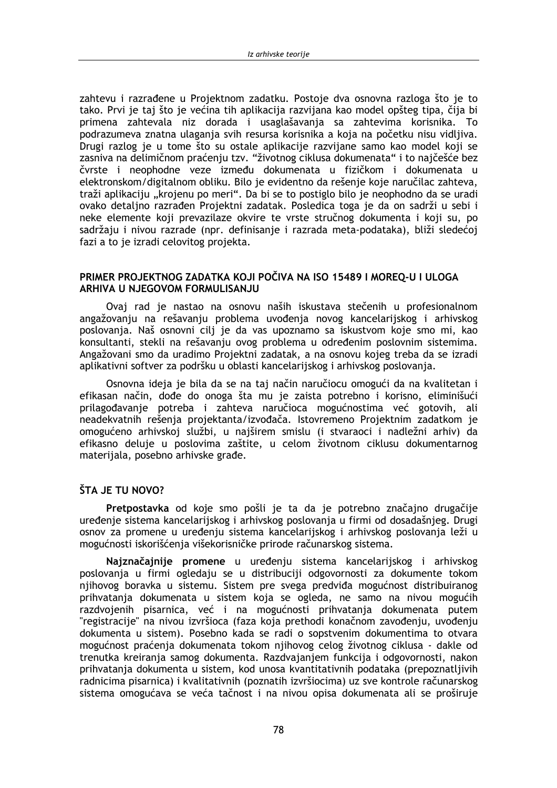zahtevu i razrađene u Projektnom zadatku. Postoje dva osnovna razloga što je to tako. Prvi je taj što je većina tih aplikacija razvijana kao model opšteg tipa, čija bi primena zahtevala niz dorada i usaglašavanja sa zahtevima korisnika. To podrazumeva znatna ulaganja svih resursa korisnika a koja na početku nisu vidljiva. Drugi razlog je u tome što su ostale aplikacije razvijane samo kao model koji se zasniva na delimičnom praćenju tzv. "životnog ciklusa dokumenata" i to najčešće bez čvrste i neophodne veze između dokumenata u fizičkom i dokumenata u elektronskom/digitalnom obliku. Bilo je evidentno da rešenje koje naručilac zahteva, traži aplikaciju "krojenu po meri". Da bi se to postiglo bilo je neophodno da se uradi ovako detaljno razrađen Projektni zadatak. Posledica toga je da on sadrži u sebi i neke elemente koji prevazilaze okvire te vrste stručnog dokumenta i koji su, po sadržaju i nivou razrade (npr. definisanje i razrada meta-podataka), bliži sledećoj fazi a to je izradi celovitog projekta.

#### PRIMER PROJEKTNOG ZADATKA KOJI POČIVA NA ISO 15489 I MOREQ-U I ULOGA ARHIVA U NJEGOVOM FORMULISANJU

Ovaj rad je nastao na osnovu naših iskustava stečenih u profesionalnom angažovanju na rešavanju problema uvođenja novog kancelarijskog i arhivskog poslovanja. Naš osnovni cilj je da vas upoznamo sa iskustvom koje smo mi, kao konsultanti, stekli na rešavanju ovog problema u određenim poslovnim sistemima. Angažovani smo da uradimo Projektni zadatak, a na osnovu kojeg treba da se izradi aplikativni softver za podršku u oblasti kancelarijskog i arhivskog poslovanja.

Osnovna ideja je bila da se na taj način naručiocu omogući da na kvalitetan i efikasan način, dođe do onoga šta mu je zaista potrebno i korisno, eliminišući prilagođavanje potreba i zahteva naručioca mogućnostima već gotovih, ali neadekvatnih rešenja projektanta/izvođača. Istovremeno Projektnim zadatkom je omogućeno arhivskoj službi, u najširem smislu (i stvaraoci i nadležni arhiv) da efikasno deluje u poslovima zaštite, u celom životnom ciklusu dokumentarnog materijala, posebno arhivske građe.

### ŠTA JE TU NOVO?

Pretpostavka od koje smo pošli je ta da je potrebno značajno drugačije uređenje sistema kancelarijskog i arhivskog poslovanja u firmi od dosadašnjeg. Drugi osnov za promene u uređenju sistema kancelarijskog i arhivskog poslovanja leži u mogućnosti iskorišćenja višekorisničke prirode računarskog sistema.

Najznačajnije promene u uređenju sistema kancelarijskog i arhivskog poslovanja u firmi ogledaju se u distribuciji odgovornosti za dokumente tokom njihovog boravka u sistemu. Sistem pre svega predviđa mogućnost distribuiranog prihvatanja dokumenata u sistem koja se ogleda, ne samo na nivou mogućih razdvojenih pisarnica, već i na mogućnosti prihvatanja dokumenata putem "registracije" na nivou izvršioca (faza koja prethodi konačnom zavođenju, uvođenju dokumenta u sistem). Posebno kada se radi o sopstvenim dokumentima to otvara mogućnost praćenja dokumenata tokom njihovog celog životnog ciklusa - dakle od trenutka kreiranja samog dokumenta. Razdvajanjem funkcija i odgovornosti, nakon prihvatanja dokumenta u sistem, kod unosa kvantitativnih podataka (prepoznatljivih radnicima pisarnica) i kvalitativnih (poznatih izvršiocima) uz sve kontrole računarskog sistema omogućava se veća tačnost i na nivou opisa dokumenata ali se proširuje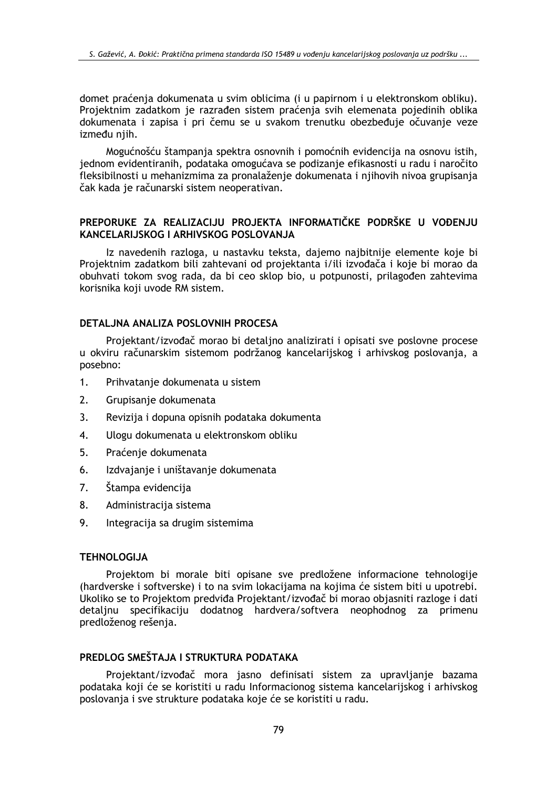domet praćenia dokumenata u svim oblicima (i u papirnom i u elektronskom obliku). Projektnim zadatkom je razrađen sistem praćenja svih elemenata pojedinih oblika dokumenata i zapisa i pri čemu se u svakom trenutku obezbeđuje očuvanje veze između niih.

Mogućnošću štampania spektra osnovnih i pomoćnih evidencija na osnovu istih. jednom evidentiranih, podataka omogućava se podizanje efikasnosti u radu i naročito fleksibilnosti u mehanizmima za pronalaženje dokumenata i njihovih nivoa grupisanja čak kada je računarski sistem neoperativan.

#### PREPORUKE ZA REALIZACIJU PROJEKTA INFORMATIČKE PODRŠKE U VOĐENJU KANCELARIJSKOG I ARHIVSKOG POSLOVANJA

Iz navedenih razloga, u nastavku teksta, dajemo najbitnije elemente koje bi Projektnim zadatkom bili zahtevani od projektanta i/ili izvođača i koje bi morao da obuhvati tokom svog rada, da bi ceo sklop bio, u potpunosti, prilagođen zahtevima korisnika koji uvode RM sistem.

#### DETALJNA ANALIZA POSLOVNIH PROCESA

Projektant/izvođač morao bi detaljno analizirati i opisati sve poslovne procese u okviru računarskim sistemom podržanog kancelarijskog i arhivskog poslovanja, a posebno:

- $1<sub>1</sub>$ Prihvatanje dokumenata u sistem
- $2<sub>1</sub>$ Grupisanje dokumenata
- $\overline{3}$ . Revizija i dopuna opisnih podataka dokumenta
- $\overline{4}$ . Ulogu dokumenata u elektronskom obliku
- $5<sub>1</sub>$ Praćenje dokumenata
- 6. Izdvajanje i uništavanje dokumenata
- $7.$ Štampa evidencija
- 8. Administracija sistema
- 9. Integracija sa drugim sistemima

#### **TEHNOLOGIJA**

Projektom bi morale biti opisane sve predložene informacione tehnologije (hardverske i softverske) i to na svim lokacijama na kojima će sistem biti u upotrebi. Ukoliko se to Projektom predviđa Projektant/izvođač bi morao objasniti razloge i dati detaljnu specifikaciju dodatnog hardvera/softvera neophodnog za primenu predloženog rešenja.

## PREDLOG SMEŠTAJA I STRUKTURA PODATAKA

Projektant/izvođač mora jasno definisati sistem za upravljanje bazama podataka koji će se koristiti u radu Informacionog sistema kancelarijskog i arhivskog poslovania i sve strukture podataka koje će se koristiti u radu.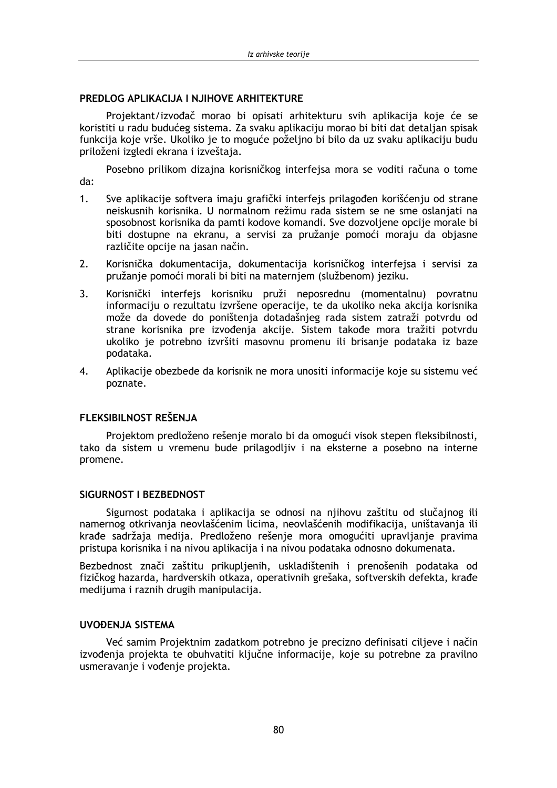#### PREDLOG APLIKACIJA I NJIHOVE ARHITEKTURE

Projektant/izvođač morao bi opisati arhitekturu svih aplikacija koje će se koristiti u radu budućeg sistema. Za svaku aplikaciju morao bi biti dat detaljan spisak funkcija koje vrše. Ukoliko je to moguće poželjno bi bilo da uz svaku aplikaciju budu priloženi izgledi ekrana i izveštaja.

Posebno prilikom dizajna korisničkog interfejsa mora se voditi računa o tome da:

- $1.$ Sve aplikacije softvera imaju grafički interfejs prilagođen korišćenju od strane neiskusnih korisnika. U normalnom režimu rada sistem se ne sme oslanjati na sposobnost korisnika da pamti kodove komandi. Sve dozvoljene opcije morale bi biti dostupne na ekranu, a servisi za pružanje pomoći moraju da objasne različite opcije na jasan način.
- $2.$ Korisnička dokumentacija, dokumentacija korisničkog interfejsa i servisi za pružanje pomoći morali bi biti na maternjem (službenom) jeziku.
- $\overline{3}$ . Korisnički interfejs korisniku pruži neposrednu (momentalnu) povratnu informaciju o rezultatu izvršene operacije, te da ukoliko neka akcija korisnika može da dovede do poništenja dotadašnjeg rada sistem zatraži potvrdu od strane korisnika pre izvođenja akcije. Sistem takođe mora tražiti potvrdu ukoliko je potrebno izvršiti masovnu promenu ili brisanje podataka iz baze podataka.
- Aplikacije obezbede da korisnik ne mora unositi informacije koje su sistemu već  $\mathbf{4}$ poznate.

## FLEKSIBILNOST REŠENJA

Projektom predloženo rešenie moralo bi da omogući visok stepen fleksibilnosti. tako da sistem u vremenu bude prilagodljiv i na eksterne a posebno na interne promene.

#### SIGURNOST I BEZBEDNOST

Sigurnost podataka i aplikacija se odnosi na nijhovu zaštitu od slučajnog ili namernog otkrivanja neovlašćenim licima, neovlašćenih modifikacija, uništavanja ili krađe sadržaja medija. Predloženo rešenje mora omogućiti upravljanje pravima pristupa korisnika i na nivou aplikacija i na nivou podataka odnosno dokumenata.

Bezbednost znači zaštitu prikupljenih, uskladištenih i prenošenih podataka od fizičkog hazarda, hardverskih otkaza, operativnih grešaka, softverskih defekta, krađe medijuma i raznih drugih manipulacija.

#### **UVOĐENJA SISTEMA**

Već samim Projektnim zadatkom potrebno je precizno definisati ciljeve i način izvođenja projekta te obuhvatiti ključne informacije, koje su potrebne za pravilno usmeravanje i vođenje projekta.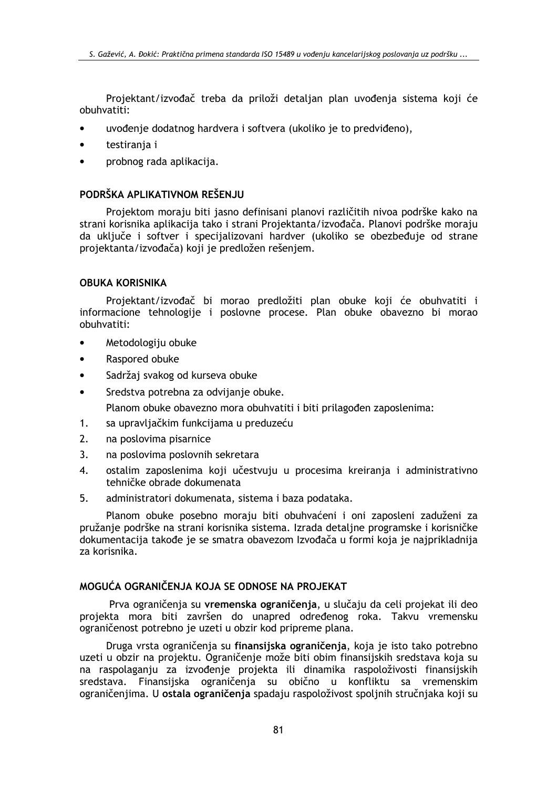Projektant/izvođač treba da priloži detalian plan uvođenia sistema koji će obuhvatiti:

- uvođenie dodatnog hardvera i softvera (ukoliko je to predviđeno).
- testiranja i  $\bullet$
- probnog rada aplikacija.

## PODRŠKA API IKATIVNOM REŠENJIJ

Projektom moraju biti jasno definisani planovi različitih nivoa podrške kako na strani korisnika aplikacija tako i strani Projektanta/izvođača. Planovi podrške moraju da uključe i softver i specijalizovani hardver (ukoliko se obezbeđuje od strane projektanta/izvođača) koji je predložen rešenjem.

### **OBUKA KORISNIKA**

Projektant/izvođač bi morao predložiti plan obuke koji će obuhvatiti i informacione tehnologije i poslovne procese. Plan obuke obavezno bi morao obuhvatiti:

- Metodologiju obuke  $\bullet$
- Raspored obuke  $\blacksquare$
- Sadržaj svakog od kurseva obuke  $\bullet$
- Sredstva potrebna za odvijanje obuke. Planom obuke obavezno mora obuhvatiti i biti prilagođen zaposlenima:
- $1.$ sa upravljačkim funkcijama u preduzeću
- $2<sub>1</sub>$ na poslovima pisarnice
- $\overline{3}$ . na poslovima poslovnih sekretara
- 4. ostalim zaposlenima koji učestvuju u procesima kreiranja i administrativno tehničke obrade dokumenata
- 5. administratori dokumenata, sistema i baza podataka.

Planom obuke posebno moraju biti obuhvaćeni i oni zaposleni zaduženi za pružanje podrške na strani korisnika sistema. Izrada detaljne programske i korisničke dokumentacija takođe je se smatra obavezom Izvođača u formi koja je najprikladnija za korisnika.

### MOGUĆA OGRANIČENJA KOJA SE ODNOSE NA PROJEKAT

Prva ograničenia su vremenska ograničenia, u slučaju da celi projekat ili deo projekta mora biti završen do unapred određenog roka. Takvu vremensku ograničenost potrebno je uzeti u obzir kod pripreme plana.

Druga vrsta ograničenja su finansijska ograničenja, koja je isto tako potrebno uzeti u obzir na projektu. Ograničenje može biti obim finansijskih sredstava koja su na raspolaganju za izvođenje projekta ili dinamika raspoloživosti finansijskih sredstava. Finansijska ograničenja su obično u konfliktu sa vremenskim ograničenjima. U ostala ograničenja spadaju raspoloživost spoljnih stručnjaka koji su